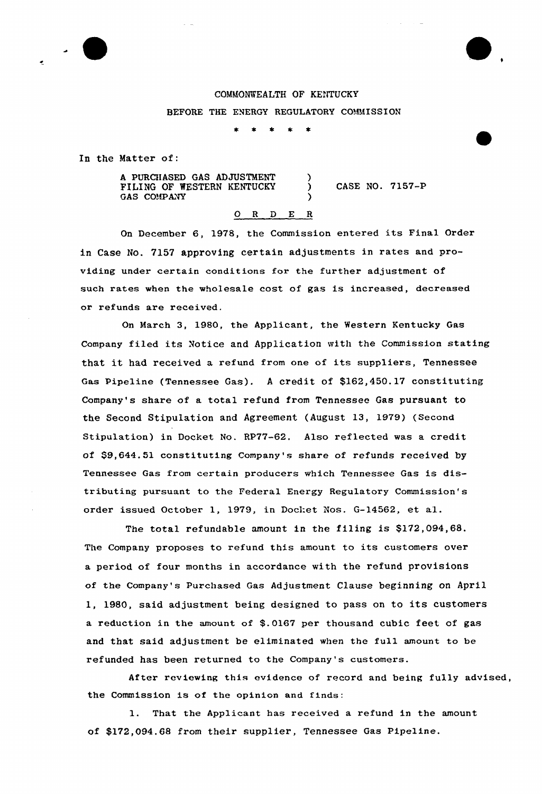## COMMONWEALTH OF KENTUCKY BEFORE THE ENERGY REGULATORY COMMISSION

In the Matter of:

A PURCIIASED GAS ADJUSTMENT FILING OF WESTERN KENTUCKY GAS COMPANY )

) CASE NO. 7157-P

## 0 <sup>R</sup> <sup>D</sup> E <sup>R</sup>

On December 6, 1978, the Commission entered its Final Order in Case No. 7157 approving certain adjustments in rates and providing under certain conditions for the further adjustment of such rates when the wholesale cost of gas is increased, decreased or refunds are received.

On Maxch 3, 1980, the Applicant, the Western Kentucky Gas Company filed its Notice and Application with the Commission stating that it had received a refund from one of its suppliers, Tennessee Gas Pipeline (Tennessee Gas). <sup>A</sup> credit of \$162,450.17 constituting Company's share of a total refund from Tennessee Gas pursuant to the Second Stipulation and Agreement (August 13, 1979) (Second Stipulation) in Docket No. RP77-62. Also reflected was a credit of \$9,644.51 constituting Company's share of refunds received by Tennessee Gas from certain producers which Tennessee Gas is distributing pursuant to the Federal Energy Regulatory Commission's order issued October 1, 1979, in Docl:et Nos. G-14562, et al.

The total refundable amount in the filing is \$172,094,68. The Company proposes to refund this amount to its customers over a period of four months in accordance with the refund provisions of the Company's Purchased Gas Adjustment Clause beginning on April 1, 1980, said adjustment being designed to pass on to its customers a reduction in the amount of \$.0167 per thousand cubic feet of gas and that said adjustment be eliminated when the full amount to be refunded has been returned to the Company's customers.

After reviewing this evidence of record and being fully advised, the Commission is of the opinion and finds:

1. That the Applicant has received a refund in the amount of \$172,094.68 from their supplier, Tennessee Gas Pipeline.